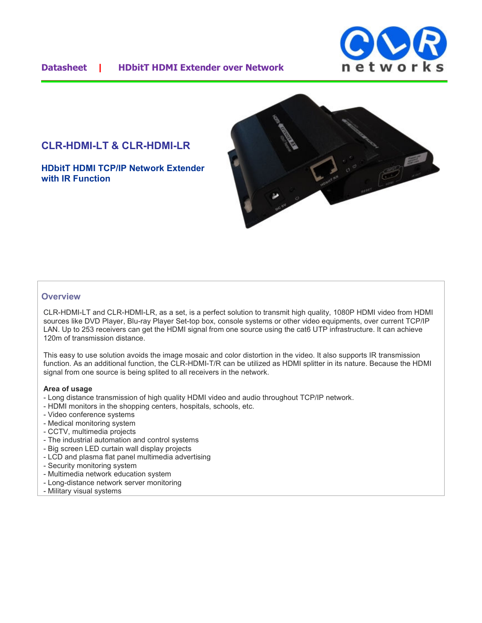

### **Datasheet | HDbitT HDMI Extender over Network**

# **CLR-HDMI-LT & CLR-HDMI-LR**

**HDbitT HDMI TCP/IP Network Extender with IR Function**



#### **Overview**

CLR-HDMI-LT and CLR-HDMI-LR, as a set, is a perfect solution to transmit high quality, 1080P HDMI video from HDMI sources like DVD Player, Blu-ray Player Set-top box, console systems or other video equipments, over current TCP/IP LAN. Up to 253 receivers can get the HDMI signal from one source using the cat6 UTP infrastructure. It can achieve 120m of transmission distance.

This easy to use solution avoids the image mosaic and color distortion in the video. It also supports IR transmission function. As an additional function, the CLR-HDMI-T/R can be utilized as HDMI splitter in its nature. Because the HDMI signal from one source is being splited to all receivers in the network.

#### **Area of usage**

- Long distance transmission of high quality HDMI video and audio throughout TCP/IP network.
- HDMI monitors in the shopping centers, hospitals, schools, etc.
- Video conference systems
- Medical monitoring system
- CCTV, multimedia projects
- The industrial automation and control systems
- Big screen LED curtain wall display projects
- LCD and plasma flat panel multimedia advertising
- Security monitoring system
- Multimedia network education system
- Long-distance network server monitoring
- Military visual systems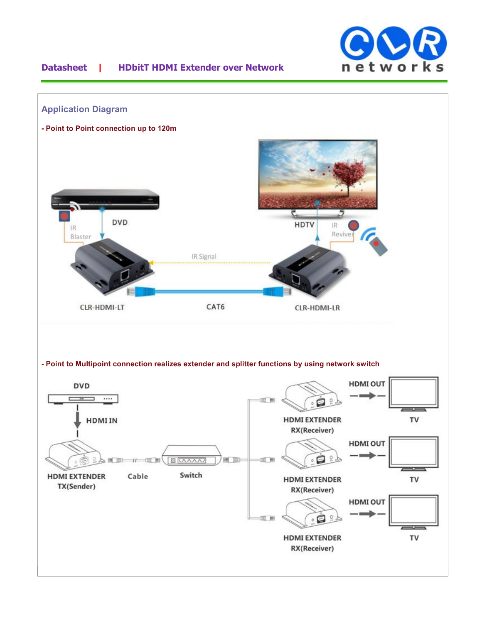

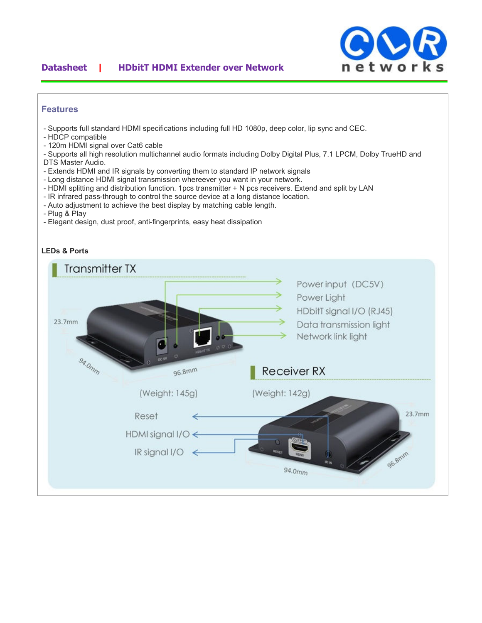## **Datasheet | HDbitT HDMI Extender over Network**



#### **Features**

- Supports full standard HDMI specifications including full HD 1080p, deep color, lip sync and CEC.
- HDCP compatible
- 120m HDMI signal over Cat6 cable
- Supports all high resolution multichannel audio formats including Dolby Digital Plus, 7.1 LPCM, Dolby TrueHD and DTS Master Audio.
- Extends HDMI and IR signals by converting them to standard IP network signals
- Long distance HDMI signal transmission whereever you want in your network.
- HDMI splitting and distribution function. 1pcs transmitter + N pcs receivers. Extend and split by LAN
- IR infrared pass-through to control the source device at a long distance location.
- Auto adjustment to achieve the best display by matching cable length.
- Plug & Play
- Elegant design, dust proof, anti-fingerprints, easy heat dissipation



### **LEDs & Ports**